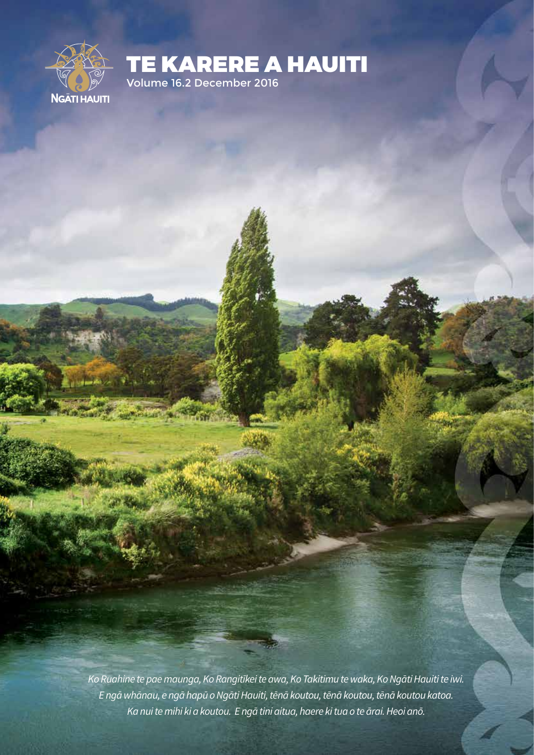

TE KARERE A HAUITI

Volume 16.2 December 2016

Michigan N

*Ko Ruahine te pae maunga, Ko Rangitīkei te awa, Ko Takitimu te waka, Ko Ngāti Hauiti te iwi. E ngā whānau, e ngā hapū o Ngāti Hauiti, tēnā koutou, tēnā koutou, tēnā koutou katoa. Ka nui te mihi ki a koutou. E ngā tini aitua, haere ki tua o te ārai. Heoi anō.*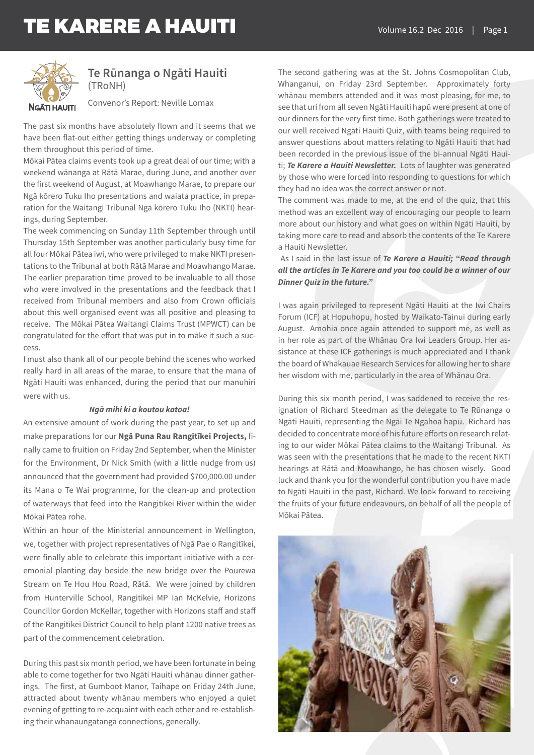

### **Te Rūnanga o Ngāti Hauiti** (TRoNH)

Convenor's Report: Neville Lomax

The past six months have absolutely flown and it seems that we have been flat-out either getting things underway or completing them throughout this period of time.

Mōkai Pātea claims events took up a great deal of our time; with a weekend wānanga at Rātā Marae, during June, and another over the first weekend of August, at Moawhango Marae, to prepare our Ngā kōrero Tuku Iho presentations and waiata practice, in preparation for the Waitangi Tribunal Ngā kōrero Tuku Iho (NKTI) hearings, during September.

The week commencing on Sunday 11th September through until Thursday 15th September was another particularly busy time for all four Mōkai Pātea iwi, who were privileged to make NKTI presentations to the Tribunal at both Rātā Marae and Moawhango Marae. The earlier preparation time proved to be invaluable to all those who were involved in the presentations and the feedback that I received from Tribunal members and also from Crown officials about this well organised event was all positive and pleasing to receive. The Mōkai Pātea Waitangi Claims Trust (MPWCT) can be congratulated for the effort that was put in to make it such a success.

I must also thank all of our people behind the scenes who worked really hard in all areas of the marae, to ensure that the mana of Ngāti Hauiti was enhanced, during the period that our manuhiri were with us.

#### *Ngā mihi ki a koutou katoa!*

An extensive amount of work during the past year, to set up and make preparations for our **Ngā Puna Rau Rangitīkei Projects,** finally came to fruition on Friday 2nd September, when the Minister for the Environment, Dr Nick Smith (with a little nudge from us) announced that the government had provided \$700,000.00 under its Mana o Te Wai programme, for the clean-up and protection of waterways that feed into the Rangitīkei River within the wider Mōkai Pātea rohe.

Within an hour of the Ministerial announcement in Wellington, we, together with project representatives of Ngā Pae o Rangitīkei, were finally able to celebrate this important initiative with a ceremonial planting day beside the new bridge over the Pourewa Stream on Te Hou Hou Road, Rātā. We were joined by children from Hunterville School, Rangitikei MP Ian McKelvie, Horizons Councillor Gordon McKellar, together with Horizons staff and staff of the Rangitīkei District Council to help plant 1200 native trees as part of the commencement celebration.

During this past six month period, we have been fortunate in being able to come together for two Ngāti Hauiti whānau dinner gatherings. The first, at Gumboot Manor, Taihape on Friday 24th June, attracted about twenty whānau members who enjoyed a quiet evening of getting to re-acquaint with each other and re-establishing their whanaungatanga connections, generally.

The second gathering was at the St. Johns Cosmopolitan Club, Whanganui, on Friday 23rd September. Approximately forty whānau members attended and it was most pleasing, for me, to see that uri from all seven Ngāti Hauiti hapū were present at one of our dinners for the very first time. Both gatherings were treated to our well received Ngāti Hauiti Quiz, with teams being required to answer questions about matters relating to Ngāti Hauiti that had been recorded in the previous issue of the bi-annual Ngāti Hauiti; *Te Karere a Hauiti Newsletter.* Lots of laughter was generated by those who were forced into responding to questions for which they had no idea was the correct answer or not.

The comment was made to me, at the end of the quiz, that this method was an excellent way of encouraging our people to learn more about our history and what goes on within Ngāti Hauiti, by taking more care to read and absorb the contents of the Te Karere a Hauiti Newsletter.

 As I said in the last issue of *Te Karere a Hauiti; "Read through all the articles in Te Karere and you too could be a winner of our Dinner Quiz in the future."*

I was again privileged to represent Ngāti Hauiti at the Iwi Chairs Forum (ICF) at Hopuhopu, hosted by Waikato-Tainui during early August. Amohia once again attended to support me, as well as in her role as part of the Whānau Ora Iwi Leaders Group. Her assistance at these ICF gatherings is much appreciated and I thank the board of Whakauae Research Services for allowing her to share her wisdom with me, particularly in the area of Whānau Ora.

During this six month period, I was saddened to receive the resignation of Richard Steedman as the delegate to Te Rūnanga o Ngāti Hauiti, representing the Ngāi Te Ngahoa hapū. Richard has decided to concentrate more of his future efforts on research relating to our wider Mōkai Pātea claims to the Waitangi Tribunal. As was seen with the presentations that he made to the recent NKTI hearings at Rātā and Moawhango, he has chosen wisely. Good luck and thank you for the wonderful contribution you have made to Ngāti Hauiti in the past, Richard. We look forward to receiving the fruits of your future endeavours, on behalf of all the people of Mōkai Pātea.

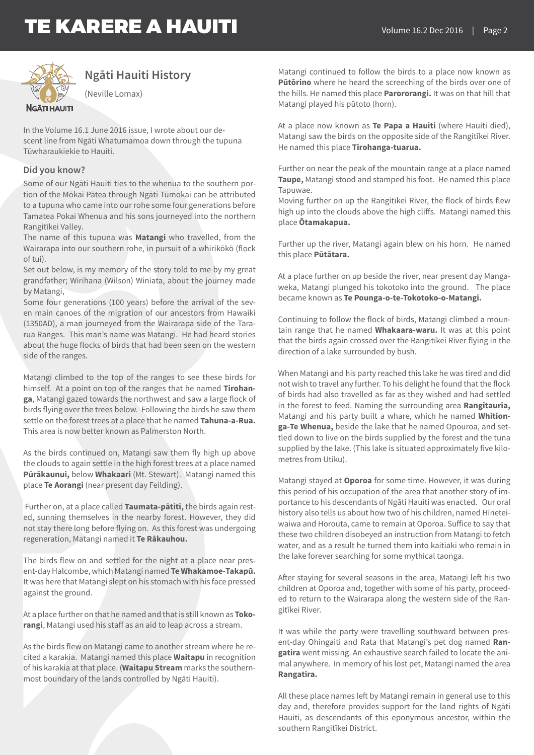

### **Ngāti Hauiti History**

(Neville Lomax)

In the Volume 16.1 June 2016 issue, I wrote about our descent line from Ngāti Whatumamoa down through the tupuna Tūwharaukiekie to Hauiti.

### **Did you know?**

Some of our Ngāti Hauiti ties to the whenua to the southern portion of the Mōkai Pātea through Ngāti Tūmokai can be attributed to a tupuna who came into our rohe some four generations before Tamatea Pokai Whenua and his sons journeyed into the northern Rangitīkei Valley.

The name of this tupuna was **Matangi** who travelled, from the Wairarapa into our southern rohe, in pursuit of a whirikōkō (flock of tui).

Set out below, is my memory of the story told to me by my great grandfather; Wirihana (Wilson) Winiata, about the journey made by Matangi,

Some four generations (100 years) before the arrival of the seven main canoes of the migration of our ancestors from Hawaiki (1350AD), a man journeyed from the Wairarapa side of the Tararua Ranges. This man's name was Matangi. He had heard stories about the huge flocks of birds that had been seen on the western side of the ranges.

Matangi climbed to the top of the ranges to see these birds for himself. At a point on top of the ranges that he named **Tirohanga**, Matangi gazed towards the northwest and saw a large flock of birds flying over the trees below. Following the birds he saw them settle on the forest trees at a place that he named **Tahuna-a-Rua.**  This area is now better known as Palmerston North.

As the birds continued on, Matangi saw them fly high up above the clouds to again settle in the high forest trees at a place named **Pūrākaunui,** below **Whakaari** (Mt. Stewart). Matangi named this place **Te Aorangi** (near present day Feilding).

 Further on, at a place called **Taumata-pātiti,** the birds again rested, sunning themselves in the nearby forest. However, they did not stay there long before flying on. As this forest was undergoing regeneration, Matangi named it **Te Rākauhou.**

The birds flew on and settled for the night at a place near present-day Halcombe, which Matangi named **Te Whakamoe-Takapū.**  It was here that Matangi slept on his stomach with his face pressed against the ground.

At a place further on that he named and that is still known as **Tokorangi**, Matangi used his staff as an aid to leap across a stream.

As the birds flew on Matangi came to another stream where he recited a karakia. Matangi named this place **Waitapu** in recognition of his karakia at that place. (**Waitapu Stream** marks the southernmost boundary of the lands controlled by Ngāti Hauiti).

Matangi continued to follow the birds to a place now known as **Pūtōrino** where he heard the screeching of the birds over one of the hills. He named this place **Parororangi.** It was on that hill that Matangi played his pūtoto (horn).

At a place now known as **Te Papa a Hauiti** (where Hauiti died), Matangi saw the birds on the opposite side of the Rangitīkei River. He named this place **Tirohanga-tuarua.**

Further on near the peak of the mountain range at a place named **Taupe,** Matangi stood and stamped his foot. He named this place Tapuwae.

Moving further on up the Rangitīkei River, the flock of birds flew high up into the clouds above the high cliffs. Matangi named this place **Ōtamakapua.**

Further up the river, Matangi again blew on his horn. He named this place **Pūtātara.**

At a place further on up beside the river, near present day Mangaweka, Matangi plunged his tokotoko into the ground. The place became known as **Te Pounga-o-te-Tokotoko-o-Matangi.**

Continuing to follow the flock of birds, Matangi climbed a mountain range that he named **Whakaara-waru.** It was at this point that the birds again crossed over the Rangitīkei River flying in the direction of a lake surrounded by bush.

When Matangi and his party reached this lake he was tired and did not wish to travel any further. To his delight he found that the flock of birds had also travelled as far as they wished and had settled in the forest to feed. Naming the surrounding area **Rangitauria,**  Matangi and his party built a whare, which he named **Whitionga-Te Whenua,** beside the lake that he named Opouroa, and settled down to live on the birds supplied by the forest and the tuna supplied by the lake. (This lake is situated approximately five kilometres from Utiku).

Matangi stayed at **Oporoa** for some time. However, it was during this period of his occupation of the area that another story of importance to his descendants of Ngāti Hauiti was enacted. Our oral history also tells us about how two of his children, named Hineteiwaiwa and Horouta, came to remain at Oporoa. Suffice to say that these two children disobeyed an instruction from Matangi to fetch water, and as a result he turned them into kaitiaki who remain in the lake forever searching for some mythical taonga.

After staying for several seasons in the area, Matangi left his two children at Oporoa and, together with some of his party, proceeded to return to the Wairarapa along the western side of the Rangitīkei River.

It was while the party were travelling southward between present-day Ohingaiti and Rata that Matangi's pet dog named **Rangatira** went missing. An exhaustive search failed to locate the animal anywhere. In memory of his lost pet, Matangi named the area **Rangatira.** 

All these place names left by Matangi remain in general use to this day and, therefore provides support for the land rights of Ngāti Hauiti, as descendants of this eponymous ancestor, within the southern Rangitīkei District.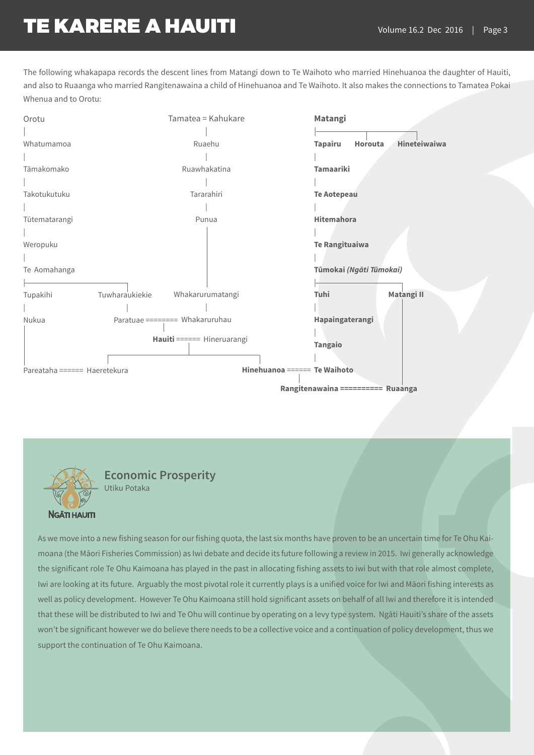The following whakapapa records the descent lines from Matangi down to Te Waihoto who married Hinehuanoa the daughter of Hauiti, and also to Ruaanga who married Rangitenawaina a child of Hinehuanoa and Te Waihoto. It also makes the connections to Tamatea Pokai Whenua and to Orotu:



**Economic Prosperity** Utiku Potaka

**NGĀTI HAUITI** 

As we move into a new fishing season for our fishing quota, the last six months have proven to be an uncertain time for Te Ohu Kaimoana (the Māori Fisheries Commission) as Iwi debate and decide its future following a review in 2015. Iwi generally acknowledge the significant role Te Ohu Kaimoana has played in the past in allocating fishing assets to iwi but with that role almost complete, Iwi are looking at its future. Arguably the most pivotal role it currently plays is a unified voice for Iwi and Māori fishing interests as well as policy development. However Te Ohu Kaimoana still hold significant assets on behalf of all Iwi and therefore it is intended that these will be distributed to Iwi and Te Ohu will continue by operating on a levy type system. Ngāti Hauiti's share of the assets won't be significant however we do believe there needs to be a collective voice and a continuation of policy development, thus we support the continuation of Te Ohu Kaimoana.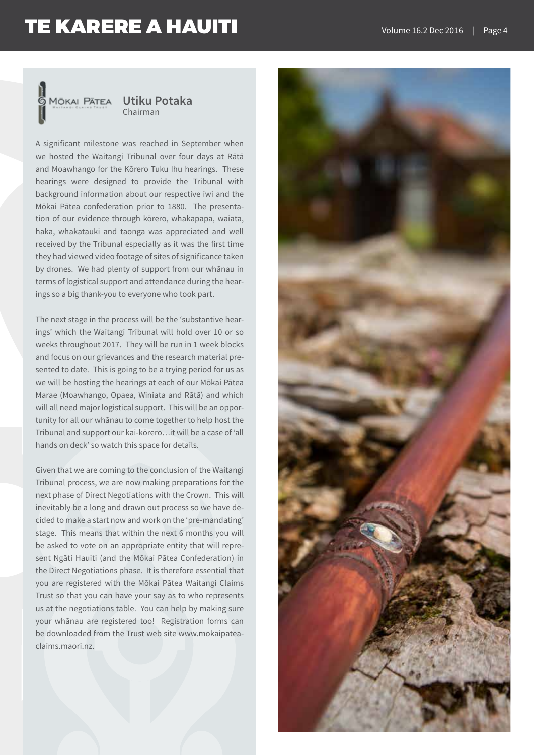

A significant milestone was reached in September when we hosted the Waitangi Tribunal over four days at Rātā and Moawhango for the Kōrero Tuku Ihu hearings. These hearings were designed to provide the Tribunal with background information about our respective iwi and the Mōkai Pātea confederation prior to 1880. The presentation of our evidence through kōrero, whakapapa, waiata, haka, whakatauki and taonga was appreciated and well received by the Tribunal especially as it was the first time they had viewed video footage of sites of significance taken by drones. We had plenty of support from our whānau in terms of logistical support and attendance during the hearings so a big thank-you to everyone who took part.

The next stage in the process will be the 'substantive hearings' which the Waitangi Tribunal will hold over 10 or so weeks throughout 2017. They will be run in 1 week blocks and focus on our grievances and the research material presented to date. This is going to be a trying period for us as we will be hosting the hearings at each of our Mōkai Pātea Marae (Moawhango, Opaea, Winiata and Rātā) and which will all need major logistical support. This will be an opportunity for all our whānau to come together to help host the Tribunal and support our kai-kōrero…it will be a case of 'all hands on deck' so watch this space for details.

Given that we are coming to the conclusion of the Waitangi Tribunal process, we are now making preparations for the next phase of Direct Negotiations with the Crown. This will inevitably be a long and drawn out process so we have decided to make a start now and work on the 'pre-mandating' stage. This means that within the next 6 months you will be asked to vote on an appropriate entity that will represent Ngāti Hauiti (and the Mōkai Pātea Confederation) in the Direct Negotiations phase. It is therefore essential that you are registered with the Mōkai Pātea Waitangi Claims Trust so that you can have your say as to who represents us at the negotiations table. You can help by making sure your whānau are registered too! Registration forms can be downloaded from the Trust web site www.mokaipateaclaims.maori.nz.

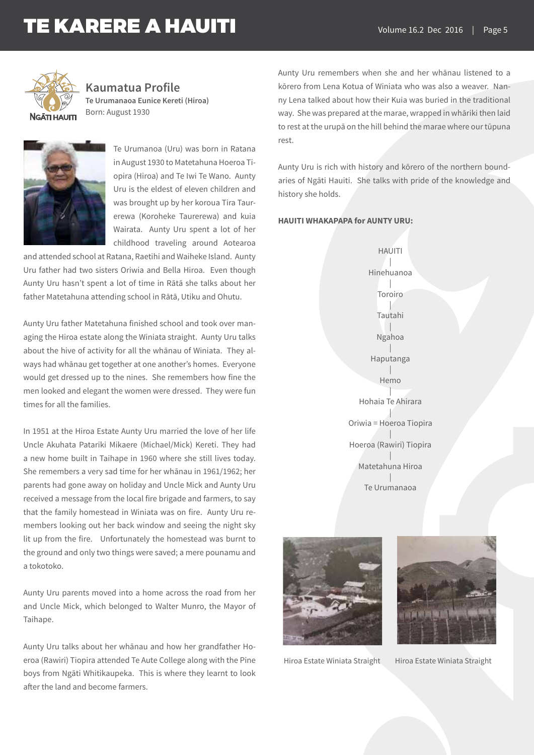

**Kaumatua Profile Te Urumanaoa Eunice Kereti (Hiroa)**  Born: August 1930



Te Urumanoa (Uru) was born in Ratana in August 1930 to Matetahuna Hoeroa Tiopira (Hiroa) and Te Iwi Te Wano. Aunty Uru is the eldest of eleven children and was brought up by her koroua Tira Taurerewa (Koroheke Taurerewa) and kuia Wairata. Aunty Uru spent a lot of her childhood traveling around Aotearoa

and attended school at Ratana, Raetihi and Waiheke Island. Aunty Uru father had two sisters Oriwia and Bella Hiroa. Even though Aunty Uru hasn't spent a lot of time in Rātā she talks about her father Matetahuna attending school in Rātā, Utiku and Ohutu.

Aunty Uru father Matetahuna finished school and took over managing the Hiroa estate along the Winiata straight. Aunty Uru talks about the hive of activity for all the whānau of Winiata. They always had whānau get together at one another's homes. Everyone would get dressed up to the nines. She remembers how fine the men looked and elegant the women were dressed. They were fun times for all the families.

In 1951 at the Hiroa Estate Aunty Uru married the love of her life Uncle Akuhata Patariki Mikaere (Michael/Mick) Kereti. They had a new home built in Taihape in 1960 where she still lives today. She remembers a very sad time for her whānau in 1961/1962; her parents had gone away on holiday and Uncle Mick and Aunty Uru received a message from the local fire brigade and farmers, to say that the family homestead in Winiata was on fire. Aunty Uru remembers looking out her back window and seeing the night sky lit up from the fire. Unfortunately the homestead was burnt to the ground and only two things were saved; a mere pounamu and a tokotoko.

Aunty Uru parents moved into a home across the road from her and Uncle Mick, which belonged to Walter Munro, the Mayor of Taihape.

Aunty Uru talks about her whānau and how her grandfather Hoeroa (Rawiri) Tiopira attended Te Aute College along with the Pine boys from Ngāti Whitikaupeka. This is where they learnt to look after the land and become farmers.

Aunty Uru remembers when she and her whānau listened to a kōrero from Lena Kotua of Winiata who was also a weaver. Nanny Lena talked about how their Kuia was buried in the traditional way. She was prepared at the marae, wrapped in whāriki then laid to rest at the urupā on the hill behind the marae where our tūpuna rest.

Aunty Uru is rich with history and kōrero of the northern boundaries of Ngāti Hauiti. She talks with pride of the knowledge and history she holds.

#### **HAUITI WHAKAPAPA for AUNTY URU:**

HAUITI | Hinehuanoa | Toroiro | Tautahi | Ngahoa | Haputanga | Hemo | Hohaia Te Ahirara | Oriwia = Hoeroa Tiopira | Hoeroa (Rawiri) Tiopira | Matetahuna Hiroa | Te Urumanaoa





Hiroa Estate Winiata Straight Hiroa Estate Winiata Straight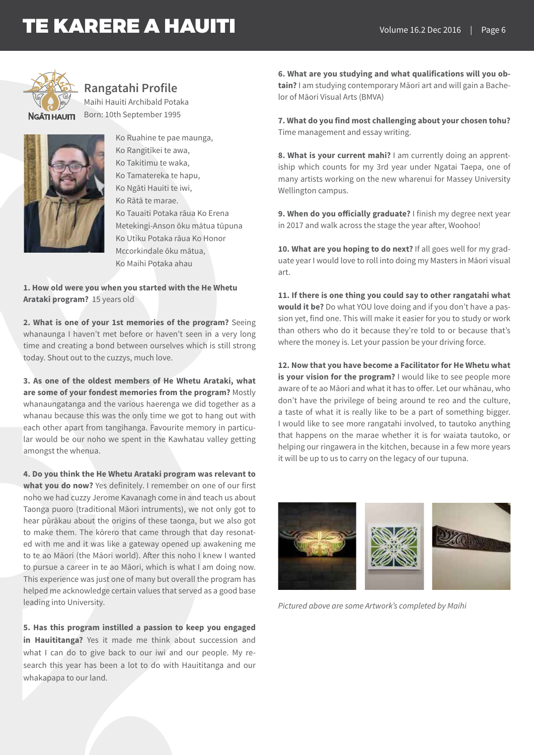

**Rangatahi Profile**

Maihi Hauiti Archibald Potaka Born: 10th September 1995



Ko Ruahine te pae maunga, Ko Rangitīkei te awa, Ko Takitimu te waka, Ko Tamatereka te hapu, Ko Ngāti Hauiti te iwi, Ko Rātā te marae. Ko Tauaiti Potaka rāua Ko Erena Metekingi-Anson ōku mātua tūpuna Ko Utiku Potaka rāua Ko Honor Mccorkindale ōku mātua, Ko Maihi Potaka ahau

**1. How old were you when you started with the He Whetu Arataki program?** 15 years old

**2. What is one of your 1st memories of the program?** Seeing whanaunga I haven't met before or haven't seen in a very long time and creating a bond between ourselves which is still strong today. Shout out to the cuzzys, much love.

**3. As one of the oldest members of He Whetu Arataki, what are some of your fondest memories from the program?** Mostly whanaungatanga and the various haerenga we did together as a whanau because this was the only time we got to hang out with each other apart from tangihanga. Favourite memory in particular would be our noho we spent in the Kawhatau valley getting amongst the whenua.

**4. Do you think the He Whetu Arataki program was relevant to what you do now?** Yes definitely. I remember on one of our first noho we had cuzzy Jerome Kavanagh come in and teach us about Taonga puoro (traditional Māori intruments), we not only got to hear pūrākau about the origins of these taonga, but we also got to make them. The kōrero that came through that day resonated with me and it was like a gateway opened up awakening me to te ao Māori (the Māori world). After this noho I knew I wanted to pursue a career in te ao Māori, which is what I am doing now. This experience was just one of many but overall the program has helped me acknowledge certain values that served as a good base leading into University.

**5. Has this program instilled a passion to keep you engaged in Hauititanga?** Yes it made me think about succession and what I can do to give back to our iwi and our people. My research this year has been a lot to do with Hauititanga and our whakapapa to our land.

**6. What are you studying and what qualifications will you obtain?** I am studying contemporary Māori art and will gain a Bachelor of Māori Visual Arts (BMVA)

**7. What do you find most challenging about your chosen tohu?**  Time management and essay writing.

**8. What is your current mahi?** I am currently doing an apprentiship which counts for my 3rd year under Ngatai Taepa, one of many artists working on the new wharenui for Massey University Wellington campus.

**9. When do you officially graduate?** I finish my degree next year in 2017 and walk across the stage the year after, Woohoo!

10. What are you hoping to do next? If all goes well for my graduate year I would love to roll into doing my Masters in Māori visual art.

**11. If there is one thing you could say to other rangatahi what would it be?** Do what YOU love doing and if you don't have a passion yet, find one. This will make it easier for you to study or work than others who do it because they're told to or because that's where the money is. Let your passion be your driving force.

**12. Now that you have become a Facilitator for He Whetu what is your vision for the program?** I would like to see people more aware of te ao Māori and what it has to offer. Let our whānau, who don't have the privilege of being around te reo and the culture, a taste of what it is really like to be a part of something bigger. I would like to see more rangatahi involved, to tautoko anything that happens on the marae whether it is for waiata tautoko, or helping our ringawera in the kitchen, because in a few more years it will be up to us to carry on the legacy of our tupuna.



*Pictured above are some Artwork's completed by Maihi*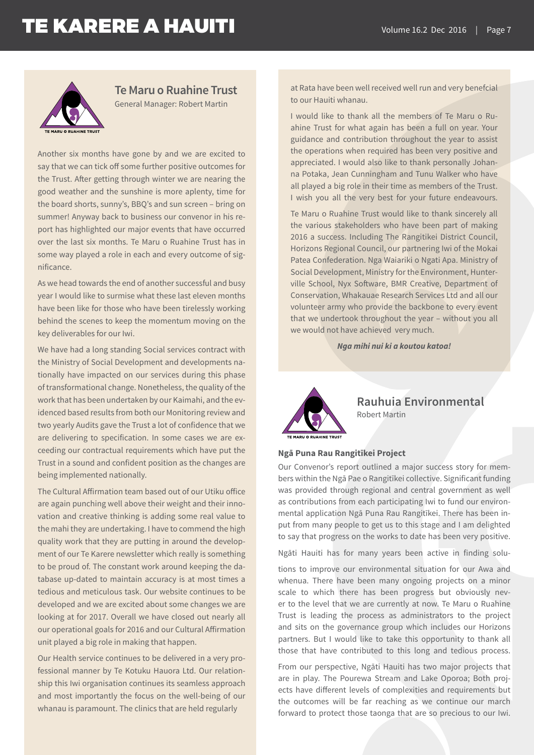

### **Te Maru o Ruahine Trust**

General Manager: Robert Martin

Another six months have gone by and we are excited to say that we can tick off some further positive outcomes for the Trust. After getting through winter we are nearing the good weather and the sunshine is more aplenty, time for the board shorts, sunny's, BBQ's and sun screen – bring on summer! Anyway back to business our convenor in his report has highlighted our major events that have occurred over the last six months. Te Maru o Ruahine Trust has in some way played a role in each and every outcome of significance.

As we head towards the end of another successful and busy year I would like to surmise what these last eleven months have been like for those who have been tirelessly working behind the scenes to keep the momentum moving on the key deliverables for our Iwi.

We have had a long standing Social services contract with the Ministry of Social Development and developments nationally have impacted on our services during this phase of transformational change. Nonetheless, the quality of the work that has been undertaken by our Kaimahi, and the evidenced based results from both our Monitoring review and two yearly Audits gave the Trust a lot of confidence that we are delivering to specification. In some cases we are exceeding our contractual requirements which have put the Trust in a sound and confident position as the changes are being implemented nationally.

The Cultural Affirmation team based out of our Utiku office are again punching well above their weight and their innovation and creative thinking is adding some real value to the mahi they are undertaking. I have to commend the high quality work that they are putting in around the development of our Te Karere newsletter which really is something to be proud of. The constant work around keeping the database up-dated to maintain accuracy is at most times a tedious and meticulous task. Our website continues to be developed and we are excited about some changes we are looking at for 2017. Overall we have closed out nearly all our operational goals for 2016 and our Cultural Affirmation unit played a big role in making that happen.

Our Health service continues to be delivered in a very professional manner by Te Kotuku Hauora Ltd. Our relationship this Iwi organisation continues its seamless approach and most importantly the focus on the well-being of our whanau is paramount. The clinics that are held regularly

at Rata have been well received well run and very benefcial to our Hauiti whanau.

I would like to thank all the members of Te Maru o Ruahine Trust for what again has been a full on year. Your guidance and contribution throughout the year to assist the operations when required has been very positive and appreciated. I would also like to thank personally Johanna Potaka, Jean Cunningham and Tunu Walker who have all played a big role in their time as members of the Trust. I wish you all the very best for your future endeavours.

Te Maru o Ruahine Trust would like to thank sincerely all the various stakeholders who have been part of making 2016 a success. Including The Rangitikei District Council, Horizons Regional Council, our partnering Iwi of the Mokai Patea Confederation. Nga Waiariki o Ngati Apa. Ministry of Social Development, Ministry for the Environment, Hunterville School, Nyx Software, BMR Creative, Department of Conservation, Whakauae Research Services Ltd and all our volunteer army who provide the backbone to every event that we undertook throughout the year – without you all we would not have achieved very much.

*Nga mihi nui ki a koutou katoa!*



**Rauhuia Environmental**  Robert Martin

#### **Ngā Puna Rau Rangitīkei Project**

Our Convenor's report outlined a major success story for members within the Ngā Pae o Rangitīkei collective. Significant funding was provided through regional and central government as well as contributions from each participating Iwi to fund our environmental application Ngā Puna Rau Rangitīkei. There has been input from many people to get us to this stage and I am delighted to say that progress on the works to date has been very positive.

Ngāti Hauiti has for many years been active in finding solu-

tions to improve our environmental situation for our Awa and whenua. There have been many ongoing projects on a minor scale to which there has been progress but obviously never to the level that we are currently at now. Te Maru o Ruahine Trust is leading the process as administrators to the project and sits on the governance group which includes our Horizons partners. But I would like to take this opportunity to thank all those that have contributed to this long and tedious process.

From our perspective, Ngāti Hauiti has two major projects that are in play. The Pourewa Stream and Lake Oporoa; Both projects have different levels of complexities and requirements but the outcomes will be far reaching as we continue our march forward to protect those taonga that are so precious to our Iwi.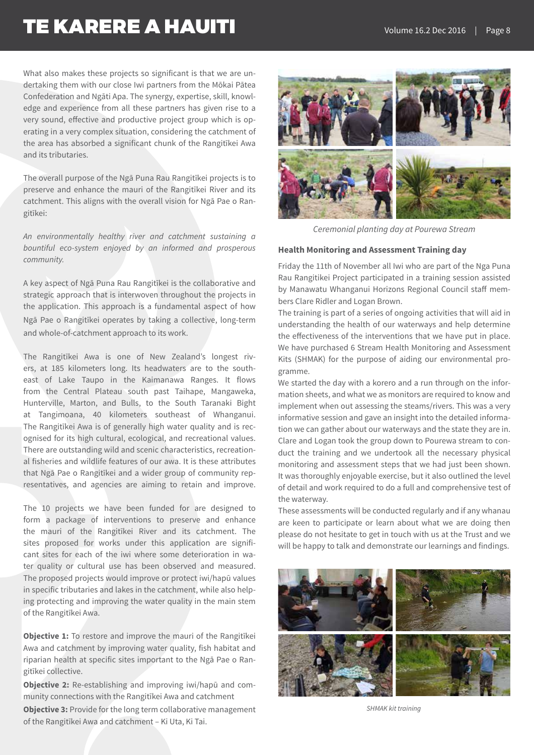What also makes these projects so significant is that we are undertaking them with our close Iwi partners from the Mōkai Pātea Confederation and Ngāti Apa. The synergy, expertise, skill, knowledge and experience from all these partners has given rise to a very sound, effective and productive project group which is operating in a very complex situation, considering the catchment of the area has absorbed a significant chunk of the Rangitīkei Awa and its tributaries.

The overall purpose of the Ngā Puna Rau Rangitīkei projects is to preserve and enhance the mauri of the Rangitīkei River and its catchment. This aligns with the overall vision for Ngā Pae o Rangitīkei:

*An environmentally healthy river and catchment sustaining a bountiful eco-system enjoyed by an informed and prosperous community.*

A key aspect of Ngā Puna Rau Rangitīkei is the collaborative and strategic approach that is interwoven throughout the projects in the application. This approach is a fundamental aspect of how Ngā Pae o Rangitīkei operates by taking a collective, long-term and whole-of-catchment approach to its work.

The Rangitīkei Awa is one of New Zealand's longest rivers, at 185 kilometers long. Its headwaters are to the southeast of Lake Taupo in the Kaimanawa Ranges. It flows from the Central Plateau south past Taihape, Mangaweka, Hunterville, Marton, and Bulls, to the South Taranaki Bight at Tangimoana, 40 kilometers southeast of Whanganui. The Rangitīkei Awa is of generally high water quality and is recognised for its high cultural, ecological, and recreational values. There are outstanding wild and scenic characteristics, recreational fisheries and wildlife features of our awa. It is these attributes that Ngā Pae o Rangitīkei and a wider group of community representatives, and agencies are aiming to retain and improve.

The 10 projects we have been funded for are designed to form a package of interventions to preserve and enhance the mauri of the Rangitīkei River and its catchment. The sites proposed for works under this application are significant sites for each of the iwi where some deterioration in water quality or cultural use has been observed and measured. The proposed projects would improve or protect iwi/hapū values in specific tributaries and lakes in the catchment, while also helping protecting and improving the water quality in the main stem of the Rangitīkei Awa.

**Objective 1:** To restore and improve the mauri of the Rangitīkei Awa and catchment by improving water quality, fish habitat and riparian health at specific sites important to the Ngā Pae o Rangitīkei collective.

**Objective 2:** Re-establishing and improving iwi/hapū and community connections with the Rangitīkei Awa and catchment

**Objective 3:** Provide for the long term collaborative management of the Rangitīkei Awa and catchment – Ki Uta, Ki Tai.



*Ceremonial planting day at Pourewa Stream*

#### **Health Monitoring and Assessment Training day**

Friday the 11th of November all Iwi who are part of the Nga Puna Rau Rangitikei Project participated in a training session assisted by Manawatu Whanganui Horizons Regional Council staff members Clare Ridler and Logan Brown.

The training is part of a series of ongoing activities that will aid in understanding the health of our waterways and help determine the effectiveness of the interventions that we have put in place. We have purchased 6 Stream Health Monitoring and Assessment Kits (SHMAK) for the purpose of aiding our environmental programme.

We started the day with a korero and a run through on the information sheets, and what we as monitors are required to know and implement when out assessing the steams/rivers. This was a very informative session and gave an insight into the detailed information we can gather about our waterways and the state they are in. Clare and Logan took the group down to Pourewa stream to conduct the training and we undertook all the necessary physical monitoring and assessment steps that we had just been shown. It was thoroughly enjoyable exercise, but it also outlined the level of detail and work required to do a full and comprehensive test of the waterway.

These assessments will be conducted regularly and if any whanau are keen to participate or learn about what we are doing then please do not hesitate to get in touch with us at the Trust and we will be happy to talk and demonstrate our learnings and findings.



*SHMAK kit training*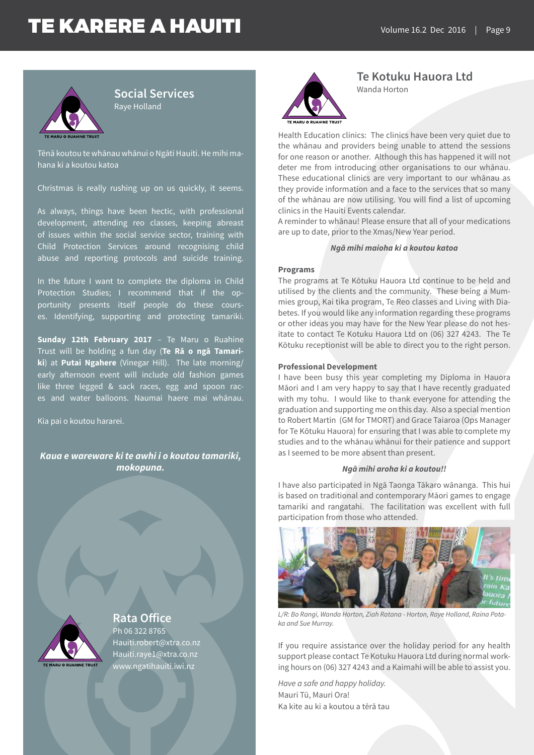

**Social Services** Raye Holland

Tēnā koutou te whānau whānui o Ngāti Hauiti. He mihi mahana ki a koutou katoa

Christmas is really rushing up on us quickly, it seems.

As always, things have been hectic, with professional development, attending reo classes, keeping abreast of issues within the social service sector, training with Child Protection Services around recognising child abuse and reporting protocols and suicide training.

In the future I want to complete the diploma in Child Protection Studies; I recommend that if the opportunity presents itself people do these courses. Identifying, supporting and protecting tamariki.

**Sunday 12th February 2017** – Te Maru o Ruahine Trust will be holding a fun day (**Te Rā o ngā Tamariki**) at **Putai Ngahere** (Vinegar Hill). The late morning/ early afternoon event will include old fashion games like three legged & sack races, egg and spoon races and water balloons. Naumai haere mai whānau.

Kia pai o koutou hararei.

*Kaua e wareware ki te awhi i o koutou tamariki, mokopuna.*



**Rata Office** Ph 06 322 8765 Hauiti.robert@xtra.co.nz Hauiti.raye1@xtra.co.nz www.ngatihauiti.iwi.nz



**Te Kotuku Hauora Ltd** Wanda Horton

Health Education clinics: The clinics have been very quiet due to the whānau and providers being unable to attend the sessions for one reason or another. Although this has happened it will not deter me from introducing other organisations to our whānau. These educational clinics are very important to our whānau as they provide information and a face to the services that so many of the whānau are now utilising. You will find a list of upcoming clinics in the Hauiti Events calendar.

A reminder to whānau! Please ensure that all of your medications are up to date, prior to the Xmas/New Year period.

#### *Ngā mihi maioha ki a koutou katoa*

#### **Programs**

The programs at Te Kōtuku Hauora Ltd continue to be held and utilised by the clients and the community. These being a Mummies group, Kai tika program, Te Reo classes and Living with Diabetes. If you would like any information regarding these programs or other ideas you may have for the New Year please do not hesitate to contact Te Kotuku Hauora Ltd on (06) 327 4243. The Te Kōtuku receptionist will be able to direct you to the right person.

#### **Professional Development**

I have been busy this year completing my Diploma in Hauora Māori and I am very happy to say that I have recently graduated with my tohu. I would like to thank everyone for attending the graduation and supporting me on this day. Also a special mention to Robert Martin (GM for TMORT) and Grace Taiaroa (Ops Manager for Te Kōtuku Hauora) for ensuring that I was able to complete my studies and to the whānau whānui for their patience and support as I seemed to be more absent than present.

#### *Ngā mihi aroha ki a koutou!!*

I have also participated in Ngā Taonga Tākaro wānanga. This hui is based on traditional and contemporary Māori games to engage tamariki and rangatahi. The facilitation was excellent with full participation from those who attended.



*L/R: Bo Rangi, Wanda Horton, Ziah Ratana - Horton, Raye Holland, Raina Potaka and Sue Murray.*

If you require assistance over the holiday period for any health support please contact Te Kotuku Hauora Ltd during normal working hours on (06) 327 4243 and a Kaimahi will be able to assist you.

*Have a safe and happy holiday.*  Mauri Tū, Mauri Ora! Ka kite au ki a koutou a tērā tau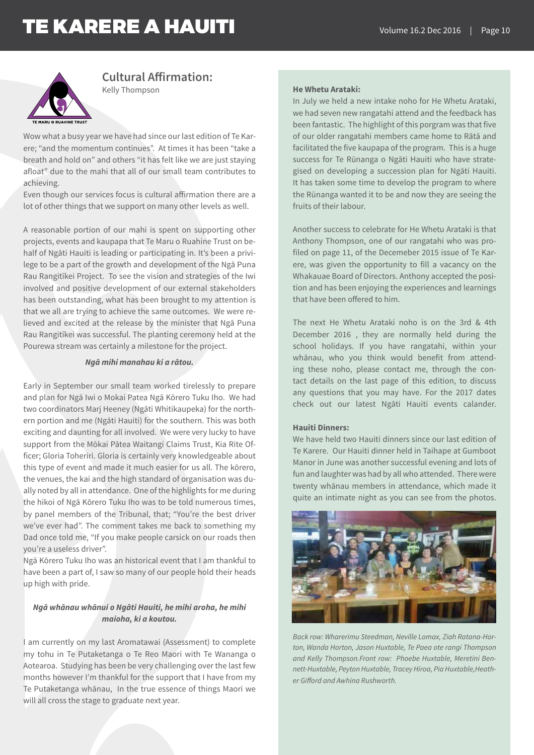

**Cultural Affirmation:** Kelly Thompson

Wow what a busy year we have had since our last edition of Te Karere; "and the momentum continues". At times it has been "take a breath and hold on" and others "it has felt like we are just staying afloat" due to the mahi that all of our small team contributes to achieving.

Even though our services focus is cultural affirmation there are a lot of other things that we support on many other levels as well.

A reasonable portion of our mahi is spent on supporting other projects, events and kaupapa that Te Maru o Ruahine Trust on behalf of Ngāti Hauiti is leading or participating in. It's been a privilege to be a part of the growth and development of the Ngā Puna Rau Rangitīkei Project. To see the vision and strategies of the Iwi involved and positive development of our external stakeholders has been outstanding, what has been brought to my attention is that we all are trying to achieve the same outcomes. We were relieved and excited at the release by the minister that Ngā Puna Rau Rangitīkei was successful. The planting ceremony held at the Pourewa stream was certainly a milestone for the project.

#### *Ngā mihi manahau ki a rātou.*

Early in September our small team worked tirelessly to prepare and plan for Ngā Iwi o Mokai Patea Ngā Kōrero Tuku Iho. We had two coordinators Marj Heeney (Ngāti Whitikaupeka) for the northern portion and me (Ngāti Hauiti) for the southern. This was both exciting and daunting for all involved. We were very lucky to have support from the Mōkai Pātea Waitangi Claims Trust, Kia Rite Officer; Gloria Toheriri. Gloria is certainly very knowledgeable about this type of event and made it much easier for us all. The kōrero, the venues, the kai and the high standard of organisation was dually noted by all in attendance. One of the highlights for me during the hikoi of Ngā Kōrero Tuku Iho was to be told numerous times, by panel members of the Tribunal, that; "You're the best driver we've ever had". The comment takes me back to something my Dad once told me, "If you make people carsick on our roads then you're a useless driver".

Ngā Kōrero Tuku Iho was an historical event that I am thankful to have been a part of, I saw so many of our people hold their heads up high with pride.

#### *Ngā whānau whānui o Ngāti Hauiti, he mihi aroha, he mihi maioha, ki a koutou.*

I am currently on my last Aromatawai (Assessment) to complete my tohu in Te Putaketanga o Te Reo Maori with Te Wananga o Aotearoa. Studying has been be very challenging over the last few months however I'm thankful for the support that I have from my Te Putaketanga whānau, In the true essence of things Maori we will all cross the stage to graduate next year.

#### **He Whetu Arataki:**

In July we held a new intake noho for He Whetu Arataki, we had seven new rangatahi attend and the feedback has been fantastic. The highlight of this porgram was that five of our older rangatahi members came home to Rātā and facilitated the five kaupapa of the program. This is a huge success for Te Rūnanga o Ngāti Hauiti who have strategised on developing a succession plan for Ngāti Hauiti. It has taken some time to develop the program to where the Rūnanga wanted it to be and now they are seeing the fruits of their labour.

Another success to celebrate for He Whetu Arataki is that Anthony Thompson, one of our rangatahi who was profiled on page 11, of the Decemeber 2015 issue of Te Karere, was given the opportunity to fill a vacancy on the Whakauae Board of Directors. Anthony accepted the position and has been enjoying the experiences and learnings that have been offered to him.

The next He Whetu Arataki noho is on the 3rd & 4th December 2016 , they are normally held during the school holidays. If you have rangatahi, within your whānau, who you think would benefit from attending these noho, please contact me, through the contact details on the last page of this edition, to discuss any questions that you may have. For the 2017 dates check out our latest Ngāti Hauiti events calander.

#### **Hauiti Dinners:**

We have held two Hauiti dinners since our last edition of Te Karere. Our Hauiti dinner held in Taihape at Gumboot Manor in June was another successful evening and lots of fun and laughter was had by all who attended. There were twenty whānau members in attendance, which made it quite an intimate night as you can see from the photos.



*Back row: Wharerimu Steedman, Neville Lomax, Ziah Ratana-Horton, Wanda Horton, Jason Huxtable, Te Paea ote rangi Thompson and Kelly Thompson.Front row: Phoebe Huxtable, Meretini Bennett-Huxtable, Peyton Huxtable, Tracey Hiroa, Pia Huxtable,Heather Gifford and Awhina Rushworth.*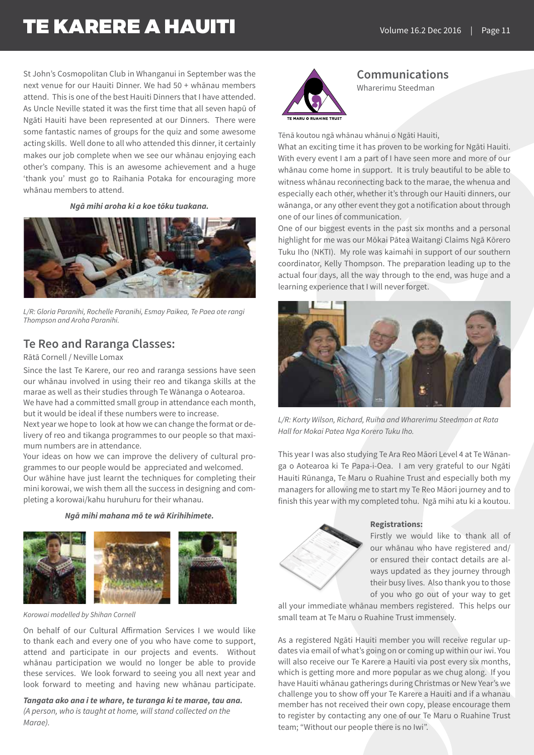St John's Cosmopolitan Club in Whanganui in September was the next venue for our Hauiti Dinner. We had 50 + whānau members attend. This is one of the best Hauiti Dinners that I have attended. As Uncle Neville stated it was the first time that all seven hapū of Ngāti Hauiti have been represented at our Dinners. There were some fantastic names of groups for the quiz and some awesome acting skills. Well done to all who attended this dinner, it certainly makes our job complete when we see our whānau enjoying each other's company. This is an awesome achievement and a huge 'thank you' must go to Raihania Potaka for encouraging more whānau members to attend.

*Ngā mihi aroha ki a koe tōku tuakana.*



*L/R: Gloria Paranihi, Rochelle Paranihi, Esmay Paikea, Te Paea ote rangi Thompson and Aroha Paranihi.*

### **Te Reo and Raranga Classes:**

Rātā Cornell / Neville Lomax

Since the last Te Karere, our reo and raranga sessions have seen our whānau involved in using their reo and tikanga skills at the marae as well as their studies through Te Wānanga o Aotearoa. We have had a committed small group in attendance each month, but it would be ideal if these numbers were to increase.

Next year we hope to look at how we can change the format or delivery of reo and tikanga programmes to our people so that maximum numbers are in attendance.

Your ideas on how we can improve the delivery of cultural programmes to our people would be appreciated and welcomed. Our wāhine have just learnt the techniques for completing their mini korowai, we wish them all the success in designing and completing a korowai/kahu huruhuru for their whanau.

*Ngā mihi mahana mō te wā Kirihihimete.*



*Korowai modelled by Shihan Cornell*

On behalf of our Cultural Affirmation Services I we would like to thank each and every one of you who have come to support, attend and participate in our projects and events. Without whānau participation we would no longer be able to provide these services. We look forward to seeing you all next year and look forward to meeting and having new whānau participate.

*Tangata ako ana i te whare, te turanga ki te marae, tau ana.*

*(A person, who is taught at home, will stand collected on the Marae).*



**Communications** Wharerimu Steedman

Tēnā koutou ngā whānau whānui o Ngāti Hauiti,

What an exciting time it has proven to be working for Ngāti Hauiti. With every event I am a part of I have seen more and more of our whānau come home in support. It is truly beautiful to be able to witness whānau reconnecting back to the marae, the whenua and especially each other, whether it's through our Hauiti dinners, our wānanga, or any other event they got a notification about through one of our lines of communication.

One of our biggest events in the past six months and a personal highlight for me was our Mōkai Pātea Waitangi Claims Ngā Kōrero Tuku Iho (NKTI). My role was kaimahi in support of our southern coordinator, Kelly Thompson. The preparation leading up to the actual four days, all the way through to the end, was huge and a learning experience that I will never forget.



*L/R: Korty Wilson, Richard, Ruiha and Wharerimu Steedman at Rata Hall for Mokai Patea Nga Korero Tuku Iho.*

This year I was also studying Te Ara Reo Māori Level 4 at Te Wānanga o Aotearoa ki Te Papa-i-Oea. I am very grateful to our Ngāti Hauiti Rūnanga, Te Maru o Ruahine Trust and especially both my managers for allowing me to start my Te Reo Māori journey and to finish this year with my completed tohu. Ngā mihi atu ki a koutou.



#### **Registrations:**

Firstly we would like to thank all of our whānau who have registered and/ or ensured their contact details are always updated as they journey through their busy lives. Also thank you to those of you who go out of your way to get

all your immediate whānau members registered. This helps our small team at Te Maru o Ruahine Trust immensely.

As a registered Ngāti Hauiti member you will receive regular updates via email of what's going on or coming up within our iwi. You will also receive our Te Karere a Hauiti via post every six months, which is getting more and more popular as we chug along. If you have Hauiti whānau gatherings during Christmas or New Year's we challenge you to show off your Te Karere a Hauiti and if a whanau member has not received their own copy, please encourage them to register by contacting any one of our Te Maru o Ruahine Trust team; "Without our people there is no Iwi".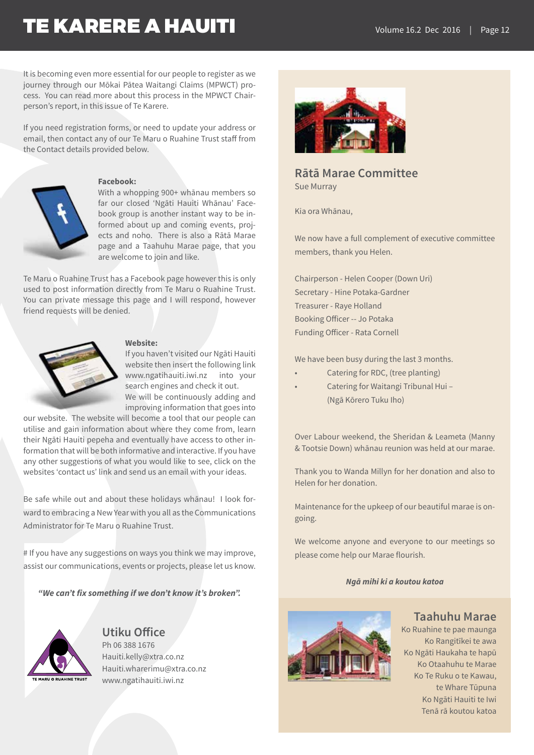It is becoming even more essential for our people to register as we journey through our Mōkai Pātea Waitangi Claims (MPWCT) process. You can read more about this process in the MPWCT Chairperson's report, in this issue of Te Karere.

If you need registration forms, or need to update your address or email, then contact any of our Te Maru o Ruahine Trust staff from the Contact details provided below.



#### **Facebook:**

With a whopping 900+ whānau members so far our closed 'Ngāti Hauiti Whānau' Facebook group is another instant way to be informed about up and coming events, projects and noho. There is also a Rātā Marae page and a Taahuhu Marae page, that you are welcome to join and like.

Te Maru o Ruahine Trust has a Facebook page however this is only used to post information directly from Te Maru o Ruahine Trust. You can private message this page and I will respond, however friend requests will be denied.



#### **Website:**

If you haven't visited our Ngāti Hauiti website then insert the following link www.ngatihauiti.iwi.nz into your search engines and check it out. We will be continuously adding and

improving information that goes into

our website. The website will become a tool that our people can utilise and gain information about where they come from, learn their Ngāti Hauiti pepeha and eventually have access to other information that will be both informative and interactive. If you have any other suggestions of what you would like to see, click on the websites 'contact us' link and send us an email with your ideas.

Be safe while out and about these holidays whānau! I look forward to embracing a New Year with you all as the Communications Administrator for Te Maru o Ruahine Trust.

# If you have any suggestions on ways you think we may improve, assist our communications, events or projects, please let us know.

*"We can't fix something if we don't know it's broken".*



### **Utiku Office**

Ph 06 388 1676 Hauiti.kelly@xtra.co.nz Hauiti.wharerimu@xtra.co.nz www.ngatihauiti.iwi.nz



### **Rātā Marae Committee** Sue Murray

Kia ora Whānau,

We now have a full complement of executive committee members, thank you Helen.

Chairperson - Helen Cooper (Down Uri) Secretary - Hine Potaka-Gardner Treasurer - Raye Holland Booking Officer -- Jo Potaka Funding Officer - Rata Cornell

We have been busy during the last 3 months.

- Catering for RDC, (tree planting)
- Catering for Waitangi Tribunal Hui (Ngā Kōrero Tuku Iho)

Over Labour weekend, the Sheridan & Leameta (Manny & Tootsie Down) whānau reunion was held at our marae.

Thank you to Wanda Millyn for her donation and also to Helen for her donation.

Maintenance for the upkeep of our beautiful marae is ongoing.

We welcome anyone and everyone to our meetings so please come help our Marae flourish.

#### *Ngā mihi ki a koutou katoa*



### **Taahuhu Marae**

Ko Ruahine te pae maunga Ko Rangitīkei te awa Ko Ngāti Haukaha te hapū Ko Otaahuhu te Marae Ko Te Ruku o te Kawau, te Whare Tūpuna Ko Ngāti Hauiti te Iwi Tenā rā koutou katoa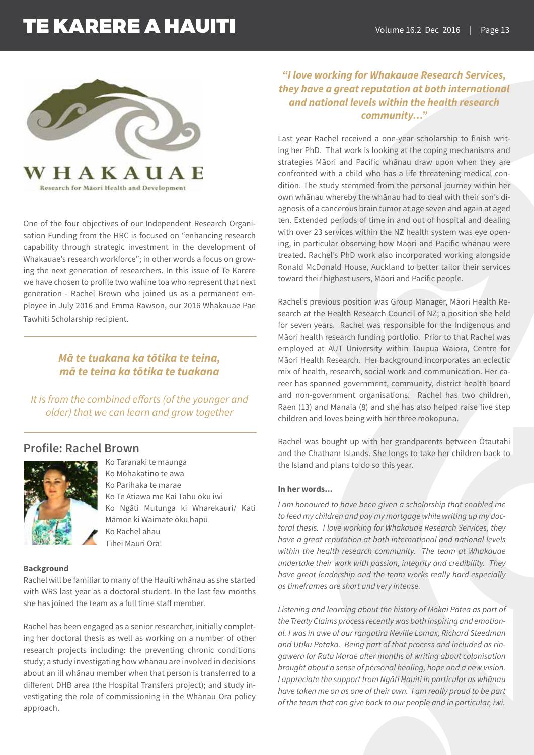

Research for Maori Health and Development

One of the four objectives of our Independent Research Organisation Funding from the HRC is focused on "enhancing research capability through strategic investment in the development of Whakauae's research workforce"; in other words a focus on growing the next generation of researchers. In this issue of Te Karere we have chosen to profile two wahine toa who represent that next generation - Rachel Brown who joined us as a permanent employee in July 2016 and Emma Rawson, our 2016 Whakauae Pae Tawhiti Scholarship recipient.

### *Mā te tuakana ka tōtika te teina, mā te teina ka tōtika te tuakana*

*It is from the combined efforts (of the younger and older) that we can learn and grow together* 

### **Profile: Rachel Brown**



Ko Taranaki te maunga Ko Mōhakatino te awa Ko Parihaka te marae Ko Te Atiawa me Kai Tahu ōku iwi Ko Ngāti Mutunga ki Wharekauri/ Kati Māmoe ki Waimate ōku hapū Ko Rachel ahau Tīhei Mauri Ora!

#### **Background**

Rachel will be familiar to many of the Hauiti whānau as she started with WRS last year as a doctoral student. In the last few months she has joined the team as a full time staff member.

Rachel has been engaged as a senior researcher, initially completing her doctoral thesis as well as working on a number of other research projects including: the preventing chronic conditions study; a study investigating how whānau are involved in decisions about an ill whānau member when that person is transferred to a different DHB area (the Hospital Transfers project); and study investigating the role of commissioning in the Whānau Ora policy approach.

### *"I love working for Whakauae Research Services, they have a great reputation at both international and national levels within the health research community…"*

Last year Rachel received a one-year scholarship to finish writing her PhD. That work is looking at the coping mechanisms and strategies Māori and Pacific whānau draw upon when they are confronted with a child who has a life threatening medical condition. The study stemmed from the personal journey within her own whānau whereby the whānau had to deal with their son's diagnosis of a cancerous brain tumor at age seven and again at aged ten. Extended periods of time in and out of hospital and dealing with over 23 services within the NZ health system was eve opening, in particular observing how Māori and Pacific whānau were treated. Rachel's PhD work also incorporated working alongside Ronald McDonald House, Auckland to better tailor their services toward their highest users, Māori and Pacific people.

Rachel's previous position was Group Manager, Māori Health Research at the Health Research Council of NZ; a position she held for seven years. Rachel was responsible for the Indigenous and Māori health research funding portfolio. Prior to that Rachel was employed at AUT University within Taupua Waiora, Centre for Māori Health Research. Her background incorporates an eclectic mix of health, research, social work and communication. Her career has spanned government, community, district health board and non-government organisations. Rachel has two children, Raen (13) and Manaia (8) and she has also helped raise five step children and loves being with her three mokopuna.

Rachel was bought up with her grandparents between Ōtautahi and the Chatham Islands. She longs to take her children back to the Island and plans to do so this year.

#### **In her words...**

*I am honoured to have been given a scholarship that enabled me to feed my children and pay my mortgage while writing up my doctoral thesis. I love working for Whakauae Research Services, they have a great reputation at both international and national levels within the health research community. The team at Whakauae undertake their work with passion, integrity and credibility. They have great leadership and the team works really hard especially as timeframes are short and very intense.*

*Listening and learning about the history of Mōkai Pātea as part of the Treaty Claims process recently was both inspiring and emotional. I was in awe of our rangatira Neville Lomax, Richard Steedman and Utiku Potaka. Being part of that process and included as ringawera for Rata Marae after months of writing about colonisation brought about a sense of personal healing, hope and a new vision. I appreciate the support from Ngāti Hauiti in particular as whānau have taken me on as one of their own. I am really proud to be part of the team that can give back to our people and in particular, iwi.*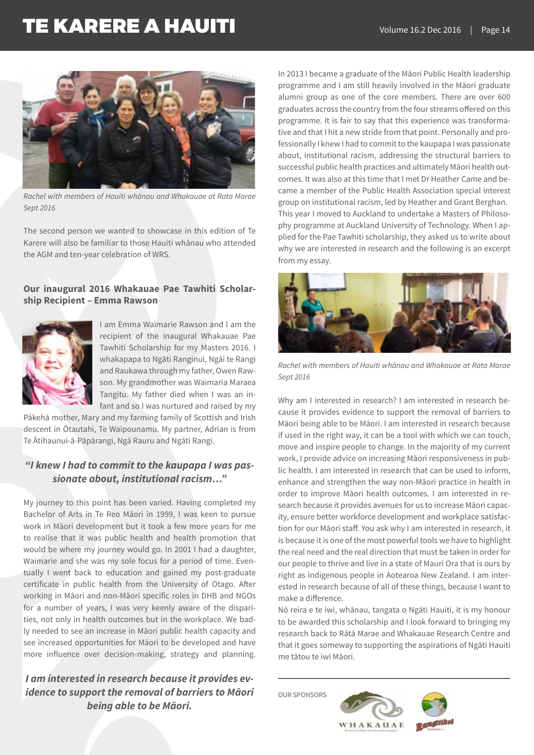

*Rachel with members of Hauiti whānau and Whakauae at Rata Marae Sept 2016* 

The second person we wanted to showcase in this edition of Te Karere will also be familiar to those Hauiti whānau who attended the AGM and ten-year celebration of WRS.

### **Our inaugural 2016 Whakauae Pae Tawhiti Scholarship Recipient – Emma Rawson**



I am Emma Waimarie Rawson and I am the recipient of the inaugural Whakauae Pae Tawhiti Scholarship for my Masters 2016. I whakapapa to Ngāti Ranginui, Ngāi te Rangi and Raukawa through my father, Owen Rawson. My grandmother was Waimaria Maraea Tangitu. My father died when I was an infant and so I was nurtured and raised by my

Pākehā mother, Mary and my farming family of Scottish and Irish descent in Ōtautahi, Te Waipounamu. My partner, Adrian is from Te Ātihaunui-ā-Pāpārangi, Ngā Rauru and Ngāti Rangi.

### *"I knew I had to commit to the kaupapa I was passionate about, institutional racism…"*

My journey to this point has been varied. Having completed my Bachelor of Arts in Te Reo Māori in 1999, I was keen to pursue work in Māori development but it took a few more years for me to realise that it was public health and health promotion that would be where my journey would go. In 2001 I had a daughter, Waimarie and she was my sole focus for a period of time. Eventually I went back to education and gained my post-graduate certificate in public health from the University of Otago. After working in Māori and non-Māori specific roles in DHB and NGOs for a number of years, I was very keenly aware of the disparities, not only in health outcomes but in the workplace. We badly needed to see an increase in Māori public health capacity and see increased opportunities for Māori to be developed and have more influence over decision-making, strategy and planning.

### *I am interested in research because it provides evidence to support the removal of barriers to Māori being able to be Māori.*

In 2013 I became a graduate of the Māori Public Health leadership programme and I am still heavily involved in the Māori graduate alumni group as one of the core members. There are over 600 graduates across the country from the four streams offered on this programme. It is fair to say that this experience was transformative and that I hit a new stride from that point. Personally and professionally I knew I had to commit to the kaupapa I was passionate about, institutional racism, addressing the structural barriers to successful public health practices and ultimately Māori health outcomes. It was also at this time that I met Dr Heather Came and became a member of the Public Health Association special interest group on institutional racism, led by Heather and Grant Berghan. This year I moved to Auckland to undertake a Masters of Philosophy programme at Auckland University of Technology. When I applied for the Pae Tawhiti scholarship, they asked us to write about why we are interested in research and the following is an excerpt from my essay.



*Rachel with members of Hauiti whānau and Whakauae at Rata Marae Sept 2016* 

Why am I interested in research? I am interested in research because it provides evidence to support the removal of barriers to Māori being able to be Māori. I am interested in research because if used in the right way, it can be a tool with which we can touch, move and inspire people to change. In the majority of my current work, I provide advice on increasing Māori responsiveness in public health. I am interested in research that can be used to inform, enhance and strengthen the way non-Māori practice in health in order to improve Māori health outcomes. I am interested in research because it provides avenues for us to increase Māori capacity, ensure better workforce development and workplace satisfaction for our Māori staff. You ask why I am interested in research, it is because it is one of the most powerful tools we have to highlight the real need and the real direction that must be taken in order for our people to thrive and live in a state of Mauri Ora that is ours by right as indigenous people in Aotearoa New Zealand. I am interested in research because of all of these things, because I want to make a difference.

Nō reira e te iwi, whānau, tangata o Ngāti Hauiti, it is my honour to be awarded this scholarship and I look forward to bringing my research back to Rātā Marae and Whakauae Research Centre and that it goes someway to supporting the aspirations of Ngāti Hauiti me tātou te iwi Māori.

OUR SPONSORS